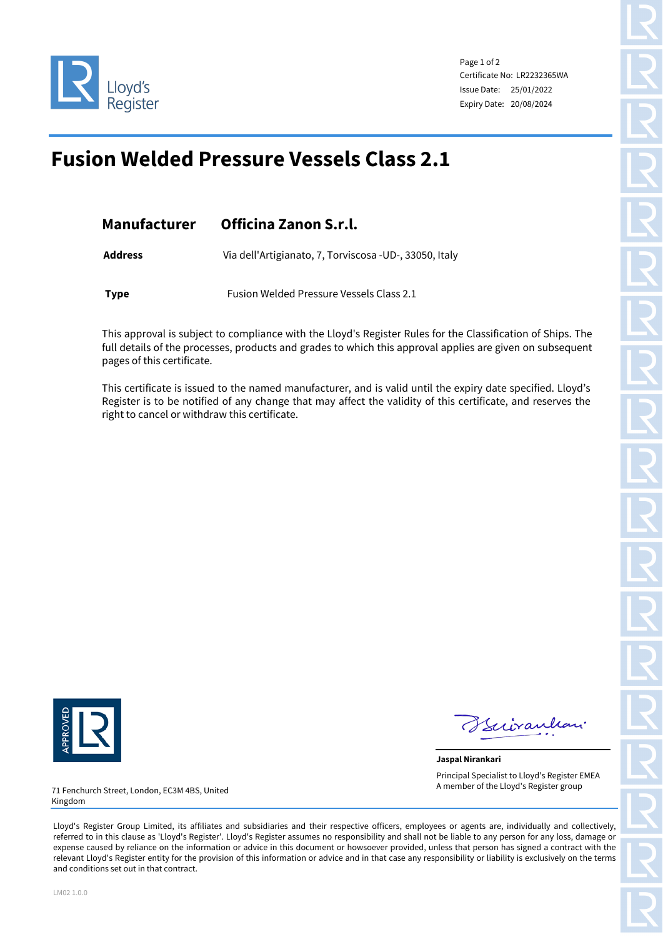

Page 1 of 2 Certificate No: LR2232365WA Issue Date: 25/01/2022 Expiry Date: 20/08/2024

## **Fusion Welded Pressure Vessels Class 2.1**

| <b>Manufacturer</b> | Officina Zanon S.r.l.                                  |  |  |
|---------------------|--------------------------------------------------------|--|--|
| <b>Address</b>      | Via dell'Artigianato, 7, Torviscosa -UD-, 33050, Italy |  |  |
| <b>Type</b>         | Fusion Welded Pressure Vessels Class 2.1               |  |  |

This approval is subject to compliance with the Lloyd's Register Rules for the Classification of Ships. The full details of the processes, products and grades to which this approval applies are given on subsequent pages of this certificate.

This certificate is issued to the named manufacturer, and is valid until the expiry date specified. Lloyd's Register is to be notified of any change that may affect the validity of this certificate, and reserves the right to cancel or withdraw this certificate.



Kiiraulian

**Jaspal Nirankari** Principal Specialist to Lloyd's Register EMEA A member of the Lloyd's Register group

71 Fenchurch Street, London, EC3M 4BS, United Kingdom

Lloyd's Register Group Limited, its affiliates and subsidiaries and their respective officers, employees or agents are, individually and collectively, referred to in this clause as 'Lloyd's Register'. Lloyd's Register assumes no responsibility and shall not be liable to any person for any loss, damage or expense caused by reliance on the information or advice in this document or howsoever provided, unless that person has signed a contract with the relevant Lloyd's Register entity for the provision of this information or advice and in that case any responsibility or liability is exclusively on the terms and conditions set out in that contract.